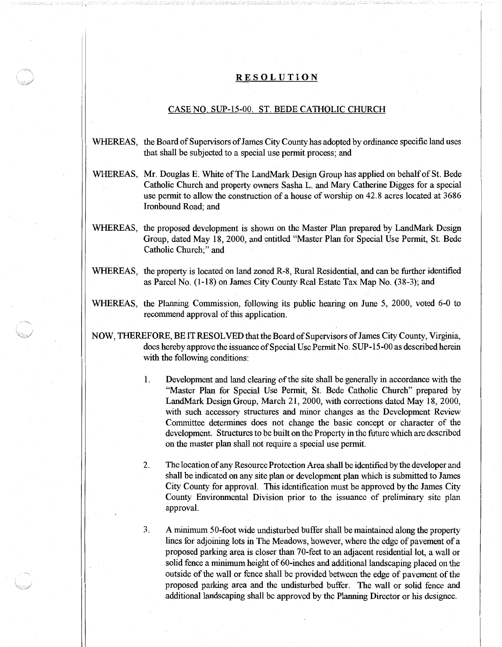## RESOLUTION

## CASE NO. SUP-15-00. ST. BEDE CATHOLIC CHURCH

- WHEREAS, the Board of Supervisors of James City County has adopted by ordinance specific land uses that shall be subjected to a special use permit process; and
- WHEREAS, Mr. Douglas E. White of The LandMark Design Group has applied on behalf of St. Bede Catholic Church and property owners Sasha L. and Mary Catherine Digges for a special use permit to allow the construction of a house of worship on 42.8 acres located at 3686 Ironbound Road; and
- WHEREAS, the proposed development is shown on the Master Plan prepared by LandMark Design Group, dated May 18, 2000, and entitled "Master Plan for Special Use Permit, St. Bede Catholic Church;" and
- WHEREAS, the property is located on land zoned R-8, Rural Residential, and can be further identified as Parcel No. (1-18) on James City County Real Estate Tax Map No. (38-3); and
- WHEREAS, the Planning Commission, following its public hearing on June 5, 2000, voted 6-0 to recommend approval of this application.
- NOW, THEREFORE, BE IT RESOLVED thatthe Board of Supervisors ofJames City County, Virginia, does hereby approve the issuance of Special Use Permit No. SUP-15-00 as described herein with the following conditions:
	- 1. Development and land clearing of the site shall be generally in accordance with the "Master Plan for Special Use Permit, St. Bede Catholic Church" prepared by LandMark Design Group, March 21, 2000, with corrections dated May 18, 2000, with such accessory structures and minor changes as the Development Review Committee determines does not change the basic concept or character of the development. Structures to be built on the Property in the future which are described on the master plan shall not require a special use permit.
	- 2. The location of any Resource Protection Area shall be identified by the developer and shall be indicated on any site plan or development plan which is submitted to James City County for approval. This identification must be approved by the James City County Environmental Division prior to the issuance of preliminary site plan approval.
	- 3. A minimum 50-foot wide undisturbed buffer shall be maintained along the property lines for adjoining lots in The Meadows, however, where the edge of pavement of a proposed parking area is closer than 70-feet to an adjacent residential lot, a wall or solid fence a minimum height of 60-inches and additional landscaping placed on the outside of the wall or fence shall be provided between the edge of pavement of the proposed parking area and the undisturbed buffer. The wall or solid fence and additional landscaping shall be approved by the Planning Director or his designee.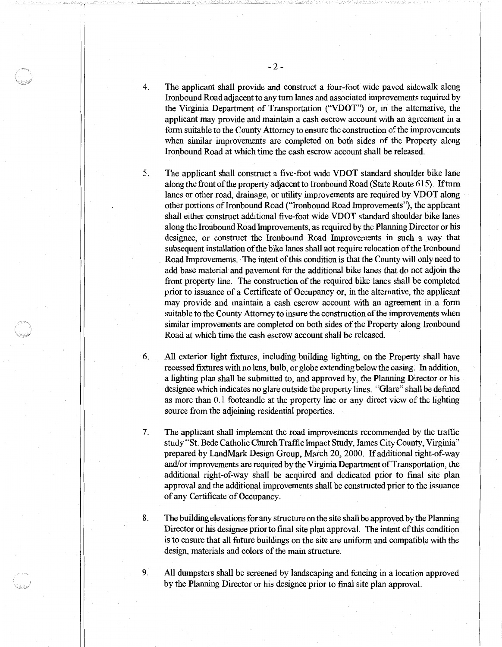- 4. The applicant shall provide and construct a four-foot wide paved sidewalk along Ironbound Road adjacent to any tum lanes and associated improvements required by the Virginia Department of Transportation ("VDOT") or, in the alternative, the applicant may provide and maintain a cash escrow account with an agreement in a form suitable to the County Attorney to ensure the construction of the improvements when similar improvements are completed on both sides of the Property along Ironbound Road at which time the cash escrow account shall be released.
- 5.

The applicant shall construct a five-foot wide VDOT standard shoulder bike lane along the front of the property adjacent to Ironbound Road (State Route 615). If tum lanes or other road, drainage, or utility improvements are required by VDOT along other portions of Ironbound Road ("Ironbound Road Improvements"), the applicant shall either construct additional five-foot wide VDOT standard shoulder bike lanes along the Ironbound Road Improvements, as required by the Planning Director or his designee, or construct the Ironbound Road Improvements in such a way that subsequent installation of the bike lanes shall not require relocation of the Ironbound Road Improvements. The intent of this condition is that the County will only need to add base material and pavement for the additional bike lanes that do not adjoin the front property line. The construction of the required bike lanes shall be completed prior to issuance of a Certificate of Occupancy or, in the alternative, the applicant may provide and maintain a cash escrow account with an agreement in a form suitable to the County Attorney to insure the construction of the improvements when similar improvements are completed on both sides of the Property along lronbound Road at which time the cash escrow account shall be released.

6. All exterior light fixtures, including building lighting, on the Property shall have recessed fixtures with no lens, bulb, or globe extending belowthe casing. In addition, a lighting plan shall be submitted to, and approved by, the Planning Director or his designee which indicates no glare outside the property lines. "Glare" shall be defined as more than 0.1 footcandle at the property line or any direct view of the lighting source from the adjoining residential properties.

7. The applicant shall implement the road improvements recommended by the traffic study "St. Bede Catholic Church Traffic Impact Study, James City County, Virginia" prepared by LandMark Design Group, March 20, 2000. If additional right-of-way and/or improvements are required by the Virginia Department of Transportation, the additional right-of-way shall be acquired and dedicated prior to final site plan approval and the additional improvements shall be constructed prior to the issuance of any Certificate of Occupancy.

8. The building elevations for any structure on the site shall be approved by the Planning Director or his designee prior to final site plan approval. The intent of this condition is to ensure that all future buildings on the site are uniform and compatible with the design, materials and colors of the main structure.

9. All dumpsters shall be screened by landscaping and fencing in a location approved by the Planning Director or his designee prior to final site plan approval.